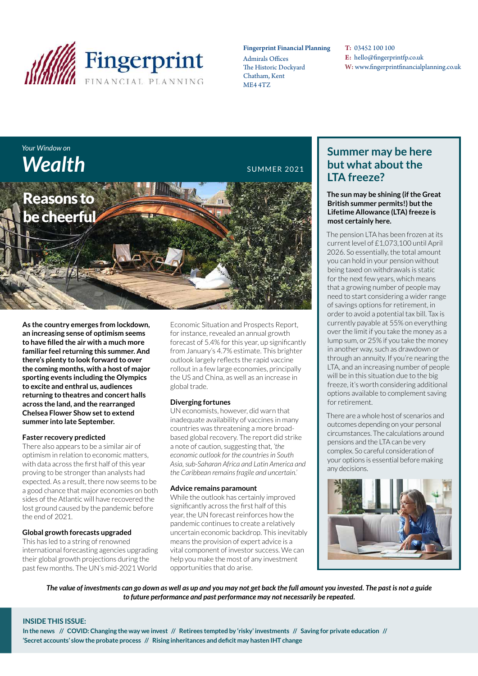

#### Fingerprint Financial Planning

Admirals Offices The Historic Dockyard Chatham, Kent ME4 4TZ

T: 03452 100 100 E: hello@fingerprintfp.co.uk W: www.fingerprintfinancialplanning.co.uk

# *Your Window on*  **Wealth** SUMMER 2021



**As the country emerges from lockdown, an increasing sense of optimism seems to have filled the air with a much more familiar feel returning this summer. And there's plenty to look forward to over the coming months, with a host of major sporting events including the Olympics to excite and enthral us, audiences returning to theatres and concert halls across the land, and the rearranged Chelsea Flower Show set to extend summer into late September.**

#### **Faster recovery predicted**

There also appears to be a similar air of optimism in relation to economic matters, with data across the first half of this year proving to be stronger than analysts had expected. As a result, there now seems to be a good chance that major economies on both sides of the Atlantic will have recovered the lost ground caused by the pandemic before the end of 2021.

#### **Global growth forecasts upgraded**

This has led to a string of renowned international forecasting agencies upgrading their global growth projections during the past few months. The UN's mid-2021 World

Economic Situation and Prospects Report, for instance, revealed an annual growth forecast of 5.4% for this year, up significantly from January's 4.7% estimate. This brighter outlook largely reflects the rapid vaccine rollout in a few large economies, principally the US and China, as well as an increase in global trade.

#### **Diverging fortunes**

UN economists, however, did warn that inadequate availability of vaccines in many countries was threatening a more broadbased global recovery. The report did strike a note of caution, suggesting that, *'the economic outlook for the countries in South Asia, sub-Saharan Africa and Latin America and the Caribbean remains fragile and uncertain.'*

#### **Advice remains paramount**

While the outlook has certainly improved significantly across the first half of this year, the UN forecast reinforces how the pandemic continues to create a relatively uncertain economic backdrop. This inevitably means the provision of expert advice is a vital component of investor success. We can help you make the most of any investment opportunities that do arise.

## **Summer may be here but what about the LTA freeze?**

**The sun may be shining (if the Great British summer permits!) but the Lifetime Allowance (LTA) freeze is most certainly here.** 

The pension LTA has been frozen at its current level of £1,073,100 until April 2026. So essentially, the total amount you can hold in your pension without being taxed on withdrawals is static for the next few years, which means that a growing number of people may need to start considering a wider range of savings options for retirement, in order to avoid a potential tax bill. Tax is currently payable at 55% on everything over the limit if you take the money as a lump sum, or 25% if you take the money in another way, such as drawdown or through an annuity. If you're nearing the LTA, and an increasing number of people will be in this situation due to the big freeze, it's worth considering additional options available to complement saving for retirement.

There are a whole host of scenarios and outcomes depending on your personal circumstances. The calculations around pensions and the LTA can be very complex. So careful consideration of your options is essential before making any decisions.



*The value of investments can go down as well as up and you may not get back the full amount you invested. The past is not a guide to future performance and past performance may not necessarily be repeated.*

#### **INSIDE THIS ISSUE:**

**In the news // COVID: Changing the way we invest // Retirees tempted by 'risky' investments // Saving for private education // 'Secret accounts' slow the probate process // Rising inheritances and deficit may hasten IHT change**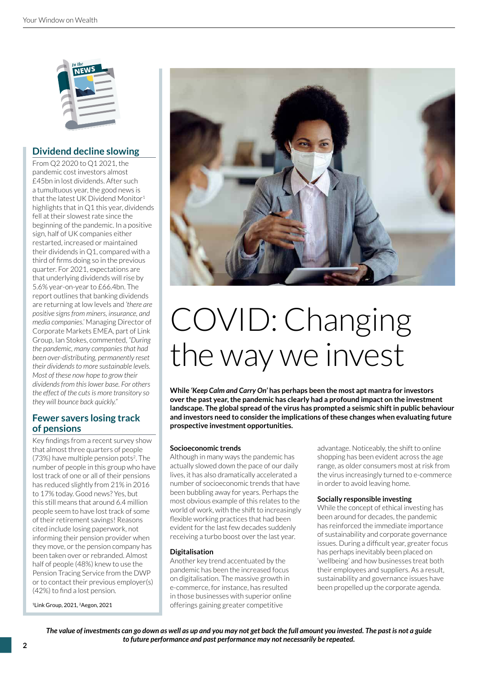

### **Dividend decline slowing**

From Q2 2020 to Q1 2021, the pandemic cost investors almost £45bn in lost dividends. After such a tumultuous year, the good news is that the latest UK Dividend Monitor<sup>1</sup> highlights that in Q1 this year, dividends fell at their slowest rate since the beginning of the pandemic. In a positive sign, half of UK companies either restarted, increased or maintained their dividends in Q1, compared with a third of firms doing so in the previous quarter. For 2021, expectations are that underlying dividends will rise by 5.6% year-on-year to £66.4bn. The report outlines that banking dividends are returning at low levels and *'there are positive signs from miners, insurance, and media companies.'* Managing Director of Corporate Markets EMEA, part of Link Group, Ian Stokes, commented, *"During the pandemic, many companies that had been over-distributing, permanently reset their dividends to more sustainable levels. Most of these now hope to grow their dividends from this lower base. For others the effect of the cuts is more transitory so they will bounce back quickly."*

#### **Fewer savers losing track of pensions**

Key findings from a recent survey show that almost three quarters of people (73%) have multiple pension pots<sup>2</sup>. The number of people in this group who have lost track of one or all of their pensions has reduced slightly from 21% in 2016 to 17% today. Good news? Yes, but this still means that around 6.4 million people seem to have lost track of some of their retirement savings! Reasons cited include losing paperwork, not informing their pension provider when they move, or the pension company has been taken over or rebranded. Almost half of people (48%) knew to use the Pension Tracing Service from the DWP or to contact their previous employer(s) (42%) to find a lost pension.

<sup>1</sup>Link Group, 2021, 2Aegon, 2021



# COVID: Changing the way we invest

**While** *'Keep Calm and Carry On'* **has perhaps been the most apt mantra for investors over the past year, the pandemic has clearly had a profound impact on the investment landscape. The global spread of the virus has prompted a seismic shift in public behaviour and investors need to consider the implications of these changes when evaluating future prospective investment opportunities.**

#### **Socioeconomic trends**

Although in many ways the pandemic has actually slowed down the pace of our daily lives, it has also dramatically accelerated a number of socioeconomic trends that have been bubbling away for years. Perhaps the most obvious example of this relates to the world of work, with the shift to increasingly flexible working practices that had been evident for the last few decades suddenly receiving a turbo boost over the last year.

#### **Digitalisation**

Another key trend accentuated by the pandemic has been the increased focus on digitalisation. The massive growth in e-commerce, for instance, has resulted in those businesses with superior online offerings gaining greater competitive

advantage. Noticeably, the shift to online shopping has been evident across the age range, as older consumers most at risk from the virus increasingly turned to e-commerce in order to avoid leaving home.

#### **Socially responsible investing**

While the concept of ethical investing has been around for decades, the pandemic has reinforced the immediate importance of sustainability and corporate governance issues. During a difficult year, greater focus has perhaps inevitably been placed on 'wellbeing' and how businesses treat both their employees and suppliers. As a result, sustainability and governance issues have been propelled up the corporate agenda.

*The value of investments can go down as well as up and you may not get back the full amount you invested. The past is not a guide to future performance and past performance may not necessarily be repeated.*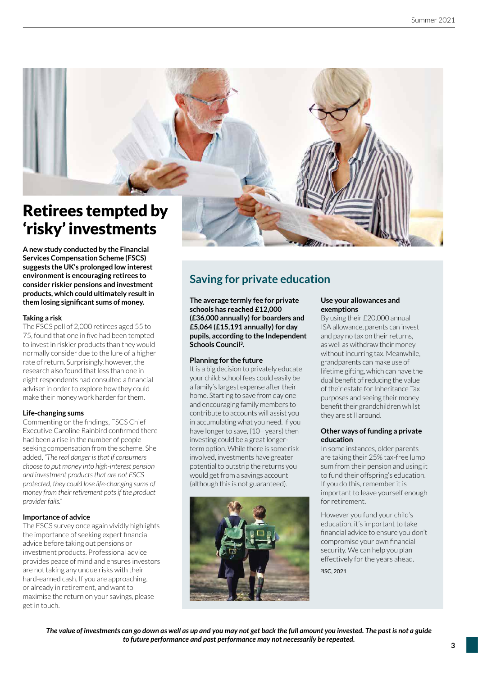

**A new study conducted by the Financial Services Compensation Scheme (FSCS) suggests the UK's prolonged low interest environment is encouraging retirees to consider riskier pensions and investment products, which could ultimately result in them losing significant sums of money.**

#### **Taking a risk**

The FSCS poll of 2,000 retirees aged 55 to 75, found that one in five had been tempted to invest in riskier products than they would normally consider due to the lure of a higher rate of return. Surprisingly, however, the research also found that less than one in eight respondents had consulted a financial adviser in order to explore how they could make their money work harder for them.

#### **Life-changing sums**

Commenting on the findings, FSCS Chief Executive Caroline Rainbird confirmed there had been a rise in the number of people seeking compensation from the scheme. She added, *"The real danger is that if consumers choose to put money into high-interest pension and investment products that are not FSCS protected, they could lose life-changing sums of money from their retirement pots if the product provider fails."*

#### **Importance of advice**

The FSCS survey once again vividly highlights the importance of seeking expert financial advice before taking out pensions or investment products. Professional advice provides peace of mind and ensures investors are not taking any undue risks with their hard-earned cash. If you are approaching, or already in retirement, and want to maximise the return on your savings, please get in touch.

## **Saving for private education**

**The average termly fee for private schools has reached £12,000 (£36,000 annually) for boarders and £5,064 (£15,191 annually) for day pupils, according to the Independent Schools Council<sup>3</sup> .** 

#### **Planning for the future**

It is a big decision to privately educate your child; school fees could easily be a family's largest expense after their home. Starting to save from day one and encouraging family members to contribute to accounts will assist you in accumulating what you need. If you have longer to save, (10+ years) then investing could be a great longerterm option. While there is some risk involved, investments have greater potential to outstrip the returns you would get from a savings account (although this is not guaranteed).



#### **Use your allowances and exemptions**

By using their £20,000 annual ISA allowance, parents can invest and pay no tax on their returns, as well as withdraw their money without incurring tax. Meanwhile, grandparents can make use of lifetime gifting, which can have the dual benefit of reducing the value of their estate for Inheritance Tax purposes and seeing their money benefit their grandchildren whilst they are still around.

#### **Other ways of funding a private education**

In some instances, older parents are taking their 25% tax-free lump sum from their pension and using it to fund their offspring's education. If you do this, remember it is important to leave yourself enough for retirement.

However you fund your child's education, it's important to take financial advice to ensure you don't compromise your own financial security. We can help you plan effectively for the years ahead.

3 ISC, 2021

*The value of investments can go down as well as up and you may not get back the full amount you invested. The past is not a guide to future performance and past performance may not necessarily be repeated.*